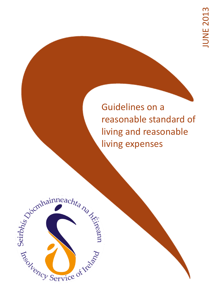Guidelines on a reasonable standard of living and reasonable living expenses

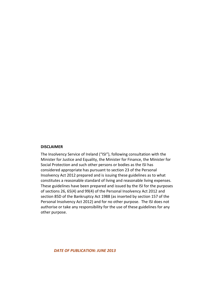### **DISCLAIMER**

The Insolvency Service of Ireland ("ISI"), following consultation with the Minister for Justice and Equality, the Minister for Finance, the Minister for Social Protection and such other persons or bodies as the ISI has considered appropriate has pursuant to section 23 of the Personal Insolvency Act 2012 prepared and is issuing these guidelines as to what constitutes a reasonable standard of living and reasonable living expenses. These guidelines have been prepared and issued by the ISI for the purposes of sections 26, 65(4) and 99(4) of the Personal Insolvency Act 2012 and section 85D of the Bankruptcy Act 1988 (as inserted by section 157 of the Personal Insolvency Act 2012) and for no other purpose. The ISI does not authorise or take any responsibility for the use of these guidelines for any other purpose.

*DATE OF PUBLICATION: JUNE 2013*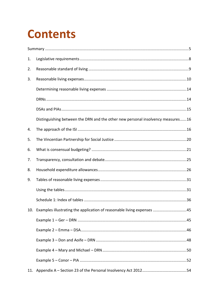# **Contents**

| 1. |                                                                                 |  |
|----|---------------------------------------------------------------------------------|--|
| 2. |                                                                                 |  |
| 3. |                                                                                 |  |
|    |                                                                                 |  |
|    |                                                                                 |  |
|    |                                                                                 |  |
|    | Distinguishing between the DRN and the other new personal insolvency measures16 |  |
| 4. |                                                                                 |  |
| 5. |                                                                                 |  |
| 6. |                                                                                 |  |
| 7. |                                                                                 |  |
| 8. |                                                                                 |  |
| 9. |                                                                                 |  |
|    |                                                                                 |  |
|    |                                                                                 |  |
|    | 10. Examples illustrating the application of reasonable living expenses 45      |  |
|    |                                                                                 |  |
|    |                                                                                 |  |
|    |                                                                                 |  |
|    |                                                                                 |  |
|    |                                                                                 |  |
|    |                                                                                 |  |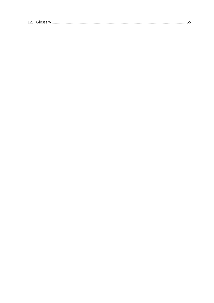|--|--|--|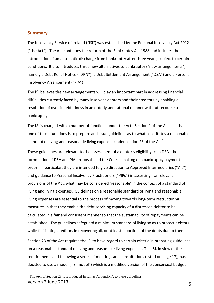### <span id="page-4-0"></span>**Summary**

The Insolvency Service of Ireland ("ISI") was established by the Personal Insolvency Act 2012 ("the Act"). The Act continues the reform of the Bankruptcy Act 1988 and includes the introduction of an automatic discharge from bankruptcy after three years, subject to certain conditions. It also introduces three new alternatives to bankruptcy ("new arrangements"), namely a Debt Relief Notice ("DRN"), a Debt Settlement Arrangement ("DSA") and a Personal Insolvency Arrangement ("PIA").

The ISI believes the new arrangements will play an important part in addressing financial difficulties currently faced by many insolvent debtors and their creditors by enabling a resolution of over-indebtedness in an orderly and rational manner without recourse to bankruptcy.

The ISI is charged with a number of functions under the Act. Section 9 of the Act lists that one of those functions is to prepare and issue guidelines as to what constitutes a reasonable standard of living and reasonable living expenses under section 23 of the Act<sup>[1](#page-4-1)</sup>.

These guidelines are relevant to the assessment of a debtor's eligibility for a DRN, the formulation of DSA and PIA proposals and the Court's making of a bankruptcy payment order. In particular, they are intended to give direction to Approved Intermediaries ("AIs") and guidance to Personal Insolvency Practitioners ("PIPs") in assessing, for relevant provisions of the Act, what may be considered 'reasonable' in the context of a standard of living and living expenses. Guidelines on a reasonable standard of living and reasonable living expenses are essential to the process of moving towards long-term restructuring measures in that they enable the debt servicing capacity of a distressed debtor to be calculated in a fair and consistent manner so that the sustainability of repayments can be established. The guidelines safeguard a minimum standard of living so as to protect debtors while facilitating creditors in recovering all, or at least a portion, of the debts due to them.

Section 23 of the Act requires the ISI to have regard to certain criteria in preparing guidelines on a reasonable standard of living and reasonable living expenses. The ISI, in view of these requirements and following a series of meetings and consultations (listed on page [17\)](#page-16-0), has decided to use a model ("ISI model") which is a modified version of the consensual budget

<span id="page-4-1"></span>Version 2 June 2013 **5**  $<sup>1</sup>$  The text of Section 23 is reproduced in full as Appendix A to these guidelines.</sup>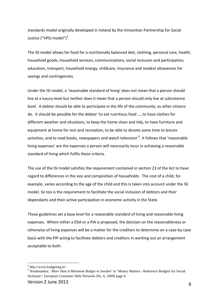standards model originally developed in Ireland by the Vincentian Partnership for Social Justice ("VPSJ model")<sup>[2](#page-5-0)</sup>.

The ISI model allows for food for a nutritionally balanced diet, clothing, personal care, health, household goods, household services, communications, social inclusion and participation, education, transport, household energy, childcare, insurance and modest allowances for savings and contingencies.

Under the ISI model, a 'reasonable standard of living' does not mean that a person should live at a luxury level but neither does it mean that a person should only live at subsistence level. A debtor should be able to participate in the life of the community, as other citizens do. It should be possible for the debtor 'to eat nutritious food …, to have clothes for different weather and situations, to keep the home clean and tidy, to have furniture and equipment at home for rest and recreation, to be able to devote some time to leisure activities, and to read books, newspapers and watch television<sup>'[3](#page-5-1)</sup>. It follows that 'reasonable living expenses' are the expenses a person will necessarily incur in achieving a reasonable standard of living which fulfils these criteria.

The use of the ISI model satisfies the requirement contained in section 23 of the Act to have regard to differences in the size and composition of households. The cost of a child, for example, varies according to the age of the child and this is taken into account under the ISI model. So too is the requirement to facilitate the social inclusion of debtors and their dependants and their active participation in economic activity in the State.

These guidelines set a base level for a reasonable standard of living and reasonable living expenses. Where either a DSA or a PIA is proposed, the decision on the reasonableness or otherwise of living expenses will be a matter for the creditors to determine on a case-by-case basis with the PIP acting to facilitate debtors and creditors in working out an arrangement acceptable to both.

<span id="page-5-0"></span><sup>2</sup> http://www.budgeting.ie/

<span id="page-5-1"></span><sup>3</sup> Nordenankur, '*More than A Minimum Budget in Sweden'* in 'Money Matters - Reference Budgets for Social Inclusion'; European Consumer Debt Network (No. 6, 2009) page 8.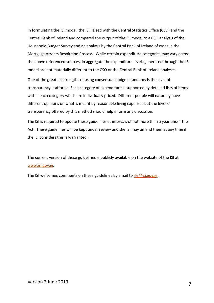In formulating the ISI model, the ISI liaised with the Central Statistics Office (CSO) and the Central Bank of Ireland and compared the output of the ISI model to a CSO analysis of the Household Budget Survey and an analysis by the Central Bank of Ireland of cases in the Mortgage Arrears Resolution Process. While certain expenditure categories may vary across the above referenced sources, in aggregate the expenditure levels generated through the ISI model are not materially different to the CSO or the Central Bank of Ireland analyses.

One of the greatest strengths of using consensual budget standards is the level of transparency it affords. Each category of expenditure is supported by detailed lists of items within each category which are individually priced. Different people will naturally have different opinions on what is meant by reasonable living expenses but the level of transparency offered by this method should help inform any discussion.

The ISI is required to update these guidelines at intervals of not more than a year under the Act. These guidelines will be kept under review and the ISI may amend them at any time if the ISI considers this is warranted.

The current version of these guidelines is publicly available on the website of the ISI at [www.isi.gov.ie.](https://dl-web.dropbox.com/ISI/Guides/Documents/RLE/www.isi.gov.ie)

The ISI welcomes comments on these guidelines by email to  $r \leq \omega$  is *gov.ie.*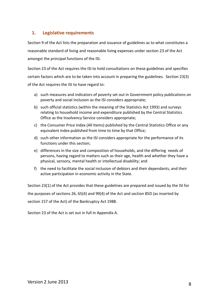# <span id="page-7-0"></span>**1. Legislative requirements**

Section 9 of the Act lists the preparation and issuance of guidelines as to what constitutes a reasonable standard of living and reasonable living expenses under section 23 of the Act amongst the principal functions of the ISI.

Section 23 of the Act requires the ISI to hold consultations on these guidelines and specifies certain factors which are to be taken into account in preparing the guidelines. Section 23(3) of the Act requires the ISI to have regard to:

- a) such measures and indicators of poverty set out in Government policy publications on poverty and social inclusion as the ISI considers appropriate;
- b) such official statistics (within the meaning of the Statistics Act 1993) and surveys relating to household income and expenditure published by the Central Statistics Office as the Insolvency Service considers appropriate;
- c) the Consumer Price Index (All Items) published by the Central Statistics Office or any equivalent index published from time to time by that Office;
- d) such other information as the ISI considers appropriate for the performance of its functions under this section;
- e) differences in the size and composition of households, and the differing needs of persons, having regard to matters such as their age, health and whether they have a physical, sensory, mental health or intellectual disability; and
- f) the need to facilitate the social inclusion of debtors and their dependants, and their active participation in economic activity in the State.

Section 23(1) of the Act provides that these guidelines are prepared and issued by the ISI for the purposes of sections 26, 65(4) and 99(4) of the Act and section 85D (as inserted by section 157 of the Act) of the Bankruptcy Act 1988.

Section 23 of the Act is set out in full in Appendix A.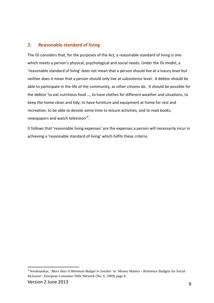# <span id="page-8-0"></span>**2. Reasonable standard of living**

The ISI considers that, for the purposes of the Act, a reasonable standard of living is one which meets a person's physical, psychological and social needs. Under the ISI model, a 'reasonable standard of living' does not mean that a person should live at a luxury level but neither does it mean that a person should only live at subsistence level. A debtor should be able to participate in the life of the community, as other citizens do. It should be possible for the debtor 'to eat nutritious food …, to have clothes for different weather and situations, to keep the home clean and tidy, to have furniture and equipment at home for rest and recreation, to be able to devote some time to leisure activities, and to read books, newspapers and watch television'<sup>[4](#page-8-1)</sup>.

It follows that 'reasonable living expenses' are the expenses a person will necessarily incur in achieving a 'reasonable standard of living' which fulfils these criteria.

<span id="page-8-1"></span><sup>4</sup> Nordenankur, '*More than A Minimum Budget in Sweden'* in 'Money Matters - Reference Budgets for Social Inclusion'; European Consumer Debt Network (No. 6, 2009) page 8.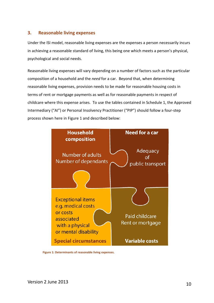# <span id="page-9-0"></span>**3. Reasonable living expenses**

Under the ISI model, reasonable living expenses are the expenses a person necessarily incurs in achieving a reasonable standard of living, this being one which meets a person's physical, psychological and social needs.

Reasonable living expenses will vary depending on a number of factors such as the particular composition of a household and the *need* for a car. Beyond that, when determining reasonable living expenses, provision needs to be made for reasonable housing costs in terms of rent or mortgage payments as well as for reasonable payments in respect of childcare where this expense arises. To use the tables contained in Schedule 1, the Approved Intermediary ("AI") or Personal Insolvency Practitioner ("PIP") should follow a four-step process shown here in Figure 1 and described below:



**Figure 1: Determinants of reasonable living expenses.**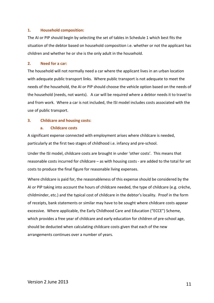### **1. Household composition:**

The AI or PIP should begin by selecting the set of tables in Schedule 1 which best fits the situation of the debtor based on household composition i.e. whether or not the applicant has children and whether he or she is the only adult in the household.

### **2. Need for a car:**

The household will not normally need a car where the applicant lives in an urban location with adequate public transport links. Where public transport is not adequate to meet the needs of the household, the AI or PIP should choose the vehicle option based on the needs of the household (needs, not wants). A car will be required where a debtor needs it to travel to and from work. Where a car is not included, the ISI model includes costs associated with the use of public transport.

### **3. Childcare and housing costs:**

### **a. Childcare costs**

A significant expense connected with employment arises where childcare is needed, particularly at the first two stages of childhood i.e. infancy and pre-school.

Under the ISI model, childcare costs are brought in under 'other costs'. This means that reasonable costs incurred for childcare – as with housing costs - are added to the total for set costs to produce the final figure for reasonable living expenses.

Where childcare is paid for, the reasonableness of this expense should be considered by the AI or PIP taking into account the hours of childcare needed, the type of childcare (e.g. crèche, childminder, etc.) and the typical cost of childcare in the debtor's locality. Proof in the form of receipts, bank statements or similar may have to be sought where childcare costs appear excessive. Where applicable, the Early Childhood Care and Education ("ECCE") Scheme, which provides a free year of childcare and early education for children of pre-school age, should be deducted when calculating childcare costs given that each of the new arrangements continues over a number of years.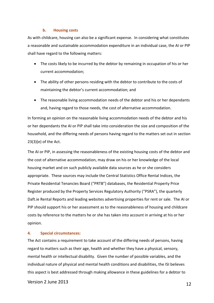### **b. Housing costs**

As with childcare, housing can also be a significant expense. In considering what constitutes a reasonable and sustainable accommodation expenditure in an individual case, the AI or PIP shall have regard to the following matters:

- The costs likely to be incurred by the debtor by remaining in occupation of his or her current accommodation;
- The ability of other persons residing with the debtor to contribute to the costs of maintaining the debtor's current accommodation; and
- The reasonable living accommodation needs of the debtor and his or her dependants and, having regard to those needs, the cost of alternative accommodation.

In forming an opinion on the reasonable living accommodation needs of the debtor and his or her dependants the AI or PIP shall take into consideration the size and composition of the household, and the differing needs of persons having regard to the matters set out in section 23(3)(e) of the Act.

The AI or PIP, in assessing the reasonableness of the existing housing costs of the debtor and the cost of alternative accommodation, may draw on his or her knowledge of the local housing market and on such publicly available data sources as he or she considers appropriate. These sources may include the Central Statistics Office Rental Indices, the Private Residential Tenancies Board ("PRTB") databases, the Residential Property Price Register produced by the Property Services Regulatory Authority ("PSRA"), the quarterly Daft.ie Rental Reports and leading websites advertising properties for rent or sale. The AI or PIP should support his or her assessment as to the reasonableness of housing and childcare costs by reference to the matters he or she has taken into account in arriving at his or her opinion.

### **4. Special circumstances:**

The Act contains a requirement to take account of the differing needs of persons, having regard to matters such as their age, health and whether they have a physical, sensory, mental health or intellectual disability. Given the number of possible variables, and the individual nature of physical and mental health conditions and disabilities, the ISI believes this aspect is best addressed through making allowance in these guidelines for a debtor to

Version 2 June 2013 12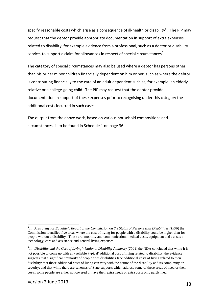specify reasonable costs which arise as a consequence of ill-health or disability<sup>[5](#page-12-0)</sup>. The PIP may request that the debtor provide appropriate documentation in support of extra expenses related to disability, for example evidence from a professional, such as a doctor or disability service, to support a claim for allowances in respect of special circumstances<sup>[6](#page-12-1)</sup>.

The category of special circumstances may also be used where a debtor has persons other than his or her minor children financially dependent on him or her, such as where the debtor is contributing financially to the care of an adult dependent such as, for example, an elderly relative or a college-going child. The PIP may request that the debtor provide documentation in support of these expenses prior to recognising under this category the additional costs incurred in such cases.

The output from the above work, based on various household compositions and circumstances, is to be found in Schedule 1 on page 36.

<span id="page-12-0"></span><sup>5</sup> In *'A Strategy for Equality': Report of the Commission on the Status of Persons with Disabilities (1996)* the Commission identified five areas where the cost of living for people with a disability could be higher than for people without a disability. These are: mobility and communication, medical costs, equipment and assistive technology, care and assistance and general living expenses.

<span id="page-12-1"></span><sup>6</sup> In '*Disability and the Cost of Living': National Disability Authority (2004)* the NDA concluded that while it is not possible to come up with any reliable 'typical' additional cost of living related to disability, the evidence suggests that a significant minority of people with disabilities face additional costs of living related to their disability; that those additional costs of living can vary with the nature of the disability and its complexity or severity; and that while there are schemes of State supports which address some of these areas of need or their costs, some people are either not covered or have their extra needs or extra costs only partly met.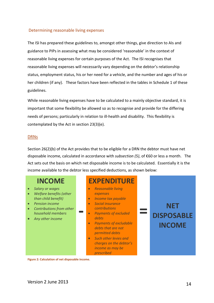## <span id="page-13-0"></span>Determining reasonable living expenses

The ISI has prepared these guidelines to, amongst other things, give direction to AIs and guidance to PIPs in assessing what may be considered 'reasonable' in the context of reasonable living expenses for certain purposes of the Act. The ISI recognises that reasonable living expenses will necessarily vary depending on the debtor's relationship status, employment status, his or her need for a vehicle, and the number and ages of his or her children (if any). These factors have been reflected in the tables in Schedule 1 of these guidelines.

While reasonable living expenses have to be calculated to a mainly objective standard, it is important that some flexibility be allowed so as to recognise and provide for the differing needs of persons; particularly in relation to ill-health and disability. This flexibility is contemplated by the Act in section 23(3)(e).

### <span id="page-13-1"></span>DRNs

Section 26(2)(b) of the Act provides that to be eligible for a DRN the debtor must have net disposable income, calculated in accordance with *subsection (5)*, of €60 or less a month. The Act sets out the basis on which net disposable income is to be calculated. Essentially it is the income available to the debtor less specified deductions, as shown below:

# **INCOME**

- *Salary or wages*
- *Welfare benefits (other than child benefit)*
- *Pension income*
- *Contributions from other household members*
- *Any other income*

# **EXPENDITURE**

- *Reasonable living expenses*
- *Income tax payable*
- *Social insurance contributions*

**-**

- *Payments of excluded debts*
- *Payments of excludable debts that are not permitted debts*
- *Such other levies and charges on the debtor's income as may be prescribed*

# **NET DISPOSABLE INCOME**

**=**

**Figure 2: Calculation of net disposable income.**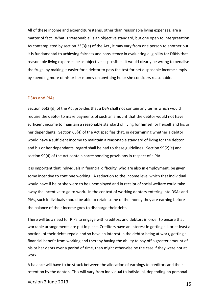All of these income and expenditure items, other than reasonable living expenses, are a matter of fact. What is 'reasonable' is an objective standard, but one open to interpretation. As contemplated by section 23(3)(e) of the Act , it may vary from one person to another but it is fundamental to achieving fairness and consistency in evaluating eligibility for DRNs that reasonable living expenses be as objective as possible. It would clearly be wrong to penalise the frugal by making it easier for a debtor to pass the test for net disposable income simply by spending more of his or her money on anything he or she considers reasonable.

### <span id="page-14-0"></span>DSAs and PIAs

Section 65(2)(d) of the Act provides that a DSA shall not contain any terms which would require the debtor to make payments of such an amount that the debtor would not have sufficient income to maintain a reasonable standard of living for himself or herself and his or her dependants. Section 65(4) of the Act specifies that, in determining whether a debtor would have a sufficient income to maintain a reasonable standard of living for the debtor and his or her dependants, regard shall be had to these guidelines. Section 99(2)(e) and section 99(4) of the Act contain corresponding provisions in respect of a PIA.

It is important that individuals in financial difficulty, who are also in employment, be given some incentive to continue working. A reduction to the income level which that individual would have if he or she were to be unemployed and in receipt of social welfare could take away the incentive to go to work. In the context of working debtors entering into DSAs and PIAs, such individuals should be able to retain some of the money they are earning before the balance of their income goes to discharge their debt.

There will be a need for PIPs to engage with creditors and debtors in order to ensure that workable arrangements are put in place. Creditors have an interest in getting all, or at least a portion, of their debts repaid and so have an interest in the debtor being at work, getting a financial benefit from working and thereby having the ability to pay off a greater amount of his or her debts over a period of time, than might otherwise be the case if they were not at work.

A balance will have to be struck between the allocation of earnings to creditors and their retention by the debtor. This will vary from individual to individual, depending on personal

Version 2 June 2013 15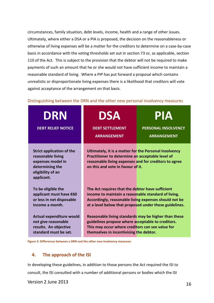circumstances, family situation, debt levels, income, health and a range of other issues. Ultimately, where either a DSA or a PIA is proposed, the decision on the reasonableness or otherwise of living expenses will be a matter for the creditors to determine on a case-by-case basis in accordance with the voting thresholds set out in section 73 or, as applicable, section 110 of the Act. This is subject to the provision that the debtor will not be required to make payments of such an amount that he or she would not have sufficient income to maintain a reasonable standard of living. Where a PIP has put forward a proposal which contains unrealistic or disproportionate living expenses there is a likelihood that creditors will vote against acceptance of the arrangement on that basis.

## <span id="page-15-0"></span>Distinguishing between the DRN and the other new personal insolvency measures

| <b>DRN</b><br><b>DEBT RELIEF NOTICE</b>                                                                                          | <b>DSA</b><br><b>DEBT SETTLEMENT</b><br><b>ARRANGEMENT</b>                                                                                                                                                                 | PIA<br><b>PERSONAL INSOLVENCY</b><br><b>ARRANGEMENT</b> |
|----------------------------------------------------------------------------------------------------------------------------------|----------------------------------------------------------------------------------------------------------------------------------------------------------------------------------------------------------------------------|---------------------------------------------------------|
| <b>Strict application of the</b><br>reasonable living<br>expenses model in<br>determining the<br>eligibility of an<br>applicant. | Ultimately, it is a matter for the Personal Insolvency<br>Practitioner to determine an acceptable level of<br>reasonable living expenses and for creditors to agree<br>on this and vote in favour of it.                   |                                                         |
| To be eligible the<br>applicant must have €60<br>or less in net disposable<br>income a month.                                    | The Act requires that the debtor have sufficient<br>income to maintain a reasonable standard of living.<br>Accordingly, reasonable living expenses should not be<br>at a level below that proposed under these guidelines. |                                                         |
| <b>Actual expenditure would</b><br>not give reasonable<br>results. An objective<br>standard must be set.                         | Reasonable living standards may be higher than these<br>guidelines propose where acceptable to creditors.<br>This may occur where creditors can see value for<br>themselves in incentivising the debtor.                   |                                                         |

**Figure 3: Differences between a DRN and the other new insolvency measures**

# <span id="page-15-1"></span>**4. The approach of the ISI**

In developing these guidelines, in addition to those persons the Act required the ISI to consult, the ISI consulted with a number of additional persons or bodies which the ISI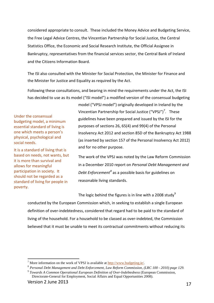considered appropriate to consult. These included the Money Advice and Budgeting Service, the Free Legal Advice Centres, the Vincentian Partnership for Social Justice, the Central Statistics Office, the Economic and Social Research Institute, the Official Assignee in Bankruptcy, representatives from the financial services sector, the Central Bank of Ireland and the Citizens Information Board.

The ISI also consulted with the Minister for Social Protection, the Minister for Finance and the Minister for Justice and Equality as required by the Act.

Following these consultations, and bearing in mind the requirements under the Act, the ISI has decided to use as its model ("ISI model") a modified version of the consensual budgeting

Under the consensual budgeting model, a minimum essential standard of living is one which meets a person's physical, psychological and social needs.

It is a standard of living that is based on needs, not wants, but it is more than survival and allows for meaningful participation in society. It should not be regarded as a standard of living for people in poverty.

<span id="page-16-0"></span>model ("VPSJ model") originally developed in Ireland by the Vincentian Partnership for Social Justice ("VPSJ")<sup>[7](#page-16-1)</sup>. These guidelines have been prepared and issued by the ISI for the purposes of sections 26, 65(4) and 99(4) of the Personal Insolvency Act 2012 and section 85D of the Bankruptcy Act 1988 (as inserted by section 157 of the Personal Insolvency Act 2012) and for no other purpose.

The work of the VPSJ was noted by the Law Reform Commission in a December 2010 report on *Personal Debt Management and Debt Enforcement[8](#page-16-2)* as a possible basis for guidelines on reasonable living standards.

The logic behind the figures is in line with a 2008 study<sup>[9](#page-16-3)</sup>

conducted by the European Commission which, in seeking to establish a single European definition of over-indebtedness, considered that regard had to be paid to the standard of living of the household. For a household to be classed as over-indebted, the Commission believed that it must be unable to meet its contractual commitments without reducing its

<span id="page-16-1"></span><sup>&</sup>lt;sup>7</sup> More information on the work of VPSJ is available at  $\frac{http://www.budgeting.io/}{http://www.budgeting.io/}$ .

<span id="page-16-2"></span><sup>8</sup> *Personal Debt Management and Debt Enforcement, Law Reform Commission, (LRC 100 - 2010) page 129.*

<span id="page-16-3"></span><sup>9</sup> *Towards A Common Operational European Definition of Over-Indebtedness* (European Commission, Directorate-General for Employment, Social Affairs and Equal Opportunities 2008).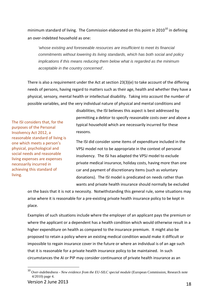minimum standard of living. The Commission elaborated on this point in 20[10](#page-17-0)<sup>10</sup> in defining an over-indebted household as one:

*'whose existing and foreseeable resources are insufficient to meet its financial commitments without lowering its living standards, which has both social and policy implications if this means reducing them below what is regarded as the minimum acceptable in the country concerned'.*

There is also a requirement under the Act at section 23(3)(e) to take account of the differing needs of persons, having regard to matters such as their age, health and whether they have a physical, sensory, mental health or intellectual disability. Taking into account the number of possible variables, and the very individual nature of physical and mental conditions and

The ISI considers that, for the purposes of the Personal Insolvency Act 2012, a reasonable standard of living is one which meets a person's physical, psychological and social needs and reasonable living expenses are expenses necessarily incurred in achieving this standard of living.

disabilities, the ISI believes this aspect is best addressed by permitting a debtor to specify reasonable costs over and above a typical household which are necessarily incurred for these reasons.

The ISI did consider some items of expenditure included in the VPSJ model not to be appropriate in the context of personal insolvency. The ISI has adapted the VPSJ model to exclude private medical insurance, holiday costs, having more than one car and payment of discretionary items (such as voluntary donations). The ISI model is predicated on needs rather than wants and private health insurance should normally be excluded

on the basis that it is not a necessity. Notwithstanding this general rule, some situations may arise where it is reasonable for a pre-existing private health insurance policy to be kept in place.

Examples of such situations include where the employer of an applicant pays the premium or where the applicant or a dependent has a health condition which would otherwise result in a higher expenditure on health as compared to the insurance premium. It might also be proposed to retain a policy where an existing medical condition would make it difficult or impossible to regain insurance cover in the future or where an individual is of an age such that it is reasonable for a private health insurance policy to be maintained. In such circumstances the AI or PIP may consider continuance of private health insurance as an

<span id="page-17-0"></span> <sup>10</sup> *Over-indebtedness - New evidence from the EU-SILC special module* (European Commission, Research note 4/2010) page 4.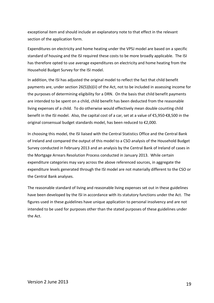exceptional item and should include an explanatory note to that effect in the relevant section of the application form.

Expenditures on electricity and home heating under the VPSJ model are based on a specific standard of housing and the ISI required these costs to be more broadly applicable. The ISI has therefore opted to use average expenditures on electricity and home heating from the Household Budget Survey for the ISI model.

In addition, the ISI has adjusted the original model to reflect the fact that child benefit payments are, under section 26(5)(b)(ii) of the Act, not to be included in assessing income for the purposes of determining eligibility for a DRN. On the basis that child benefit payments are intended to be spent on a child, child benefit has been deducted from the reasonable living expenses of a child. To do otherwise would effectively mean double counting child benefit in the ISI model. Also, the capital cost of a car, set at a value of €5,950-€8,500 in the original consensual budget standards model, has been reduced to €2,000.

In choosing this model, the ISI liaised with the Central Statistics Office and the Central Bank of Ireland and compared the output of this model to a CSO analysis of the Household Budget Survey conducted in February 2013 and an analysis by the Central Bank of Ireland of cases in the Mortgage Arrears Resolution Process conducted in January 2013. While certain expenditure categories may vary across the above referenced sources, in aggregate the expenditure levels generated through the ISI model are not materially different to the CSO or the Central Bank analyses.

The reasonable standard of living and reasonable living expenses set out in these guidelines have been developed by the ISI in accordance with its statutory functions under the Act. The figures used in these guidelines have unique application to personal insolvency and are not intended to be used for purposes other than the stated purposes of these guidelines under the Act.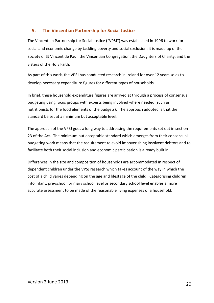# <span id="page-19-0"></span>**5. The Vincentian Partnership for Social Justice**

The Vincentian Partnership for Social Justice ("VPSJ") was established in 1996 to work for social and economic change by tackling poverty and social exclusion; it is made up of the Society of St Vincent de Paul, the Vincentian Congregation, the Daughters of Charity, and the Sisters of the Holy Faith.

As part of this work, the VPSJ has conducted research in Ireland for over 12 years so as to develop necessary expenditure figures for different types of households.

In brief, these household expenditure figures are arrived at through a process of consensual budgeting using focus groups with experts being involved where needed (such as nutritionists for the food elements of the budgets). The approach adopted is that the standard be set at a minimum but acceptable level.

The approach of the VPSJ goes a long way to addressing the requirements set out in section 23 of the Act. The minimum but acceptable standard which emerges from their consensual budgeting work means that the requirement to avoid impoverishing insolvent debtors and to facilitate both their social inclusion and economic participation is already built in.

Differences in the size and composition of households are accommodated in respect of dependent children under the VPSJ research which takes account of the way in which the cost of a child varies depending on the age and lifestage of the child. Categorising children into infant, pre-school, primary school level or secondary school level enables a more accurate assessment to be made of the reasonable living expenses of a household.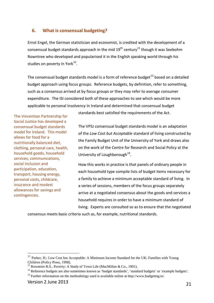# <span id="page-20-0"></span>**6. What is consensual budgeting?**

Ernst Engel, the [German](http://en.wikipedia.org/wiki/Germany) [statistician](http://en.wikipedia.org/wiki/Statistician) and [economist,](http://en.wikipedia.org/wiki/Economist) is credited with the development of a consensual budget standards approach in the mid  $19^{th}$  century<sup>[11](#page-20-1)</sup> though it was Seebohm Rowntree who developed and popularised it in the English speaking world through his studies on poverty in York $^{12}$  $^{12}$  $^{12}$ .

The consensual budget standards model is a form of reference budget $^{13}$  $^{13}$  $^{13}$  based on a detailed budget approach using focus groups. Reference budgets, by definition, refer to something, such as a consensus arrived at by focus groups or they may refer to average consumer expenditure. The ISI considered both of these approaches to see which would be more applicable to personal insolvency in Ireland and determined that consensual budget

The Vincentian Partnership for Social Justice has developed a consensual budget standards model for Ireland. This model allows for food for a nutritionally balanced diet, clothing, personal care, health, household goods, household services, communications, social inclusion and participation, education, transport, housing energy, personal costs, childcare, insurance and modest allowances for savings and contingencies.

standards best satisfied the requirements of the Act.

The VPSJ consensual budget standards model is an adaptation of the *Low Cost but Acceptable* standard of living constructed by the Family Budget Unit of the University of York and draws also on the work of the Centre for Research and Social Policy at the University of Loughborough<sup>[14](#page-20-4)</sup>.

How this works in practice is that panels of ordinary people in each household type compile lists of budget items necessary for a family to achieve a minimum acceptable standard of living. In a series of sessions, members of the focus groups separately arrive at a negotiated consensus about the goods and services a household requires in order to have a minimum standard of living. Experts are consulted so as to ensure that the negotiated

consensus meets basic criteria such as, for example, nutritional standards.

<span id="page-20-1"></span><sup>&</sup>lt;sup>11</sup> Parker, H.: Low Cost but Acceptable: A Minimum Income Standard for the UK: Families with Young Children (Policy Press, 1998).

<span id="page-20-2"></span><sup>&</sup>lt;sup>12</sup> Rowntree B.S., Poverty: A Study of Town Life (MacMillan & Co., 1901).

<span id="page-20-3"></span><sup>&</sup>lt;sup>13</sup> Reference budgets are also sometimes known as 'budget standards', 'standard budgets' or 'example budgets'.

<span id="page-20-4"></span><sup>&</sup>lt;sup>14</sup> Further information on the methodology used is available online at [http://www.budgeting.ie/.](http://www.budgeting.ie/index.php?option=com_content&view=article&id=32&Itemid=100007)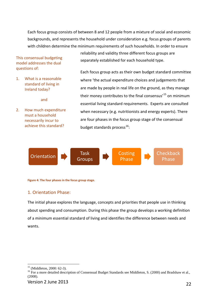Each focus group consists of between 8 and 12 people from a mixture of social and economic backgrounds, and represents the household under consideration e.g. focus groups of parents with children determine the minimum requirements of such households. In order to ensure

This consensual budgeting model addresses the dual questions of:

1. What is a reasonable standard of living in Ireland today?

and

2. How much expenditure must a household necessarily incur to achieve this standard?

reliability and validity three different focus groups are separately established for each household type.

Each focus group acts as their own budget standard committee where 'the actual expenditure choices and judgements that are made by people in real life on the ground, as they manage their money contributes to the final consensus<sup>[15](#page-21-0)</sup> on minimum essential living standard requirements. Experts are consulted when necessary (e.g. nutritionists and energy experts). There are four phases in the focus group stage of the consensual budget standards process<sup>[16](#page-21-1)</sup>:



**Figure 4: The four phases in the focus group stage.**

# 1. Orientation Phase:

The initial phase explores the language, concepts and priorities that people use in thinking about spending and consumption. During this phase the group develops a working definition of a minimum essential standard of living and identifies the difference between needs and wants.

<span id="page-21-1"></span><span id="page-21-0"></span><sup>&</sup>lt;sup>15</sup> (Middleton, 2000: 62-3).<br><sup>16</sup> For a more detailed description of Consensual Budget Standards see Middleton, S. (2000) and Bradshaw et al., (2008).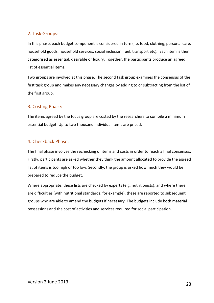# 2. Task Groups:

In this phase, each budget component is considered in turn (i.e. food, clothing, personal care, household goods, household services, social inclusion, fuel, transport etc). Each item is then categorised as essential, desirable or luxury. Together, the participants produce an agreed list of essential items.

Two groups are involved at this phase. The second task group examines the consensus of the first task group and makes any necessary changes by adding to or subtracting from the list of the first group.

# 3. Costing Phase:

The items agreed by the focus group are costed by the researchers to compile a minimum essential budget. Up to two thousand individual items are priced.

# 4. Checkback Phase:

The final phase involves the rechecking of items and costs in order to reach a final consensus. Firstly, participants are asked whether they think the amount allocated to provide the agreed list of items is too high or too low. Secondly, the group is asked how much they would be prepared to reduce the budget.

Where appropriate, these lists are checked by experts (e.g. nutritionists), and where there are difficulties (with nutritional standards, for example), these are reported to subsequent groups who are able to amend the budgets if necessary. The budgets include both material possessions and the cost of activities and services required for social participation.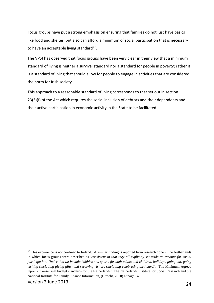Focus groups have put a strong emphasis on ensuring that families do not just have basics like food and shelter, but also can afford a minimum of social participation that is necessary to have an acceptable living standard<sup>17</sup>.

The VPSJ has observed that focus groups have been very clear in their view that a minimum standard of living is neither a survival standard nor a standard for people in poverty; rather it is a standard of living that should allow for people to engage in activities that are considered the norm for Irish society.

This approach to a reasonable standard of living corresponds to that set out in section 23(3)(f) of the Act which requires the social inclusion of debtors and their dependents and their active participation in economic activity in the State to be facilitated.

<span id="page-23-0"></span><sup>&</sup>lt;sup>17</sup> This experience is not confined to Ireland. A similar finding is reported from research done in the Netherlands in which focus groups were described as '*consistent in that they all explicitly set aside an amount for social participation. Under this we include hobbies and sports for both adults and children, holidays, going out, going visiting (including giving gifts) and receiving visitors (including celebrating birthdays)*'. 'The Minimum Agreed Upon - Consensual budget standards for the Netherlands', The Netherlands Institute for Social Research and the National Institute for Family Finance Information, (Utrecht, 2010) at page 148.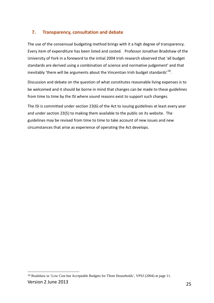# <span id="page-24-0"></span>**7. Transparency, consultation and debate**

The use of the consensual budgeting method brings with it a high degree of transparency. Every item of expenditure has been listed and costed. Professor Jonathan Bradshaw of the University of York in a foreword to the initial 2004 Irish research observed that 'all budget standards are derived using a combination of science and normative judgement' and that inevitably 'there will be arguments about the Vincentian Irish budget standards'<sup>18</sup>.

Discussion and debate on the question of what constitutes reasonable living expenses is to be welcomed and it should be borne in mind that changes can be made to these guidelines from time to time by the ISI where sound reasons exist to support such changes.

The ISI is committed under section 23(6) of the Act to issuing guidelines at least every year and under section 23(5) to making them available to the public on its website. The guidelines may be revised from time to time to take account of new issues and new circumstances that arise as experience of operating the Act develops.

<span id="page-24-1"></span>Version 2 June 2013 25  $\overline{a}$ <sup>18</sup> Bradshaw in ['Low Cost but Acceptable Budgets for Three Households',](http://www.budgeting.ie/images/stories/Publications/Low%20Cost%20but%20Acceptable%20Budgets%20for%20Three%20Housholds.pdf.) VPSJ (2004) at page 11.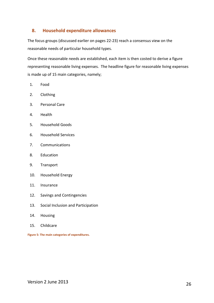# <span id="page-25-0"></span>**8. Household expenditure allowances**

The focus groups (discussed earlier on pages 22-23) reach a consensus view on the reasonable needs of particular household types.

Once these reasonable needs are established, each item is then costed to derive a figure representing reasonable living expenses. The headline figure for reasonable living expenses is made up of 15 main categories, namely;

- 1. Food
- 2. Clothing
- 3. Personal Care
- 4. Health
- 5. Household Goods
- 6. Household Services
- 7. Communications
- 8. Education
- 9. Transport
- 10. Household Energy
- 11. Insurance
- 12. Savings and Contingencies
- 13. Social Inclusion and Participation
- 14. Housing
- 15. Childcare

**Figure 5: The main categories of expenditures.**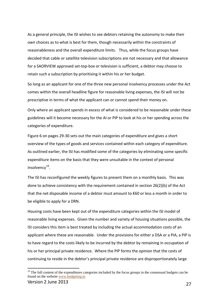As a general principle, the ISI wishes to see debtors retaining the autonomy to make their own choices as to what is best for them, though necessarily within the constraints of reasonableness and the overall expenditure limits. Thus, while the focus groups have decided that cable or satellite television subscriptions are not necessary and that allowance for a SAORVIEW approved set-top-box or television is sufficient, a debtor may choose to retain such a subscription by prioritising it within his or her budget.

So long as an applicant for one of the three new personal insolvency processes under the Act comes within the overall headline figure for reasonable living expenses, the ISI will not be prescriptive in terms of what the applicant can or cannot spend their money on.

Only where an applicant spends in excess of what is considered to be reasonable under these guidelines will it become necessary for the AI or PIP to look at his or her spending across the categories of expenditure.

Figure 6 on pages [29-](#page-28-0)30 sets out the main categories of expenditure and gives a short overview of the types of goods and services contained within each category of expenditure. As outlined earlier, the ISI has modified some of the categories by eliminating some specific expenditure items on the basis that they were unsuitable in the context of personal insolvency $^{19}$ .

The ISI has reconfigured the weekly figures to present them on a monthly basis. This was done to achieve consistency with the requirement contained in section 26(2)(b) of the Act that the net disposable income of a debtor must amount to €60 or less a month in order to be eligible to apply for a DRN.

Housing costs have been kept out of the expenditure categories within the ISI model of reasonable living expenses. Given the number and variety of housing situations possible, the ISI considers this item is best treated by including the actual accommodation costs of an applicant where these are reasonable. Under the provisions for either a DSA or a PIA, a PIP is to have regard to the costs likely to be incurred by the debtor by remaining in occupation of his or her principal private residence. Where the PIP forms the opinion that the costs of continuing to reside in the debtor's principal private residence are disproportionately large

<span id="page-26-0"></span><sup>&</sup>lt;sup>19</sup> The full content of the expenditures categories included by the focus groups in the consensual budgets can be found on the website [www.budgeting.ie.](http://www.budgeting.ie/)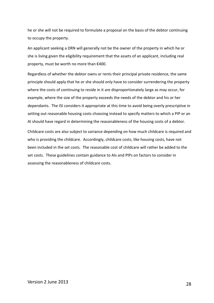he or she will not be required to formulate a proposal on the basis of the debtor continuing to occupy the property.

An applicant seeking a DRN will generally not be the owner of the property in which he or she is living given the eligibility requirement that the assets of an applicant, including real property, must be worth no more than €400.

Regardless of whether the debtor owns or rents their principal private residence, the same principle should apply that he or she should only have to consider surrendering the property where the costs of continuing to reside in it are disproportionately large as may occur, for example, where the size of the property exceeds the needs of the debtor and his or her dependants. The ISI considers it appropriate at this time to avoid being overly prescriptive in setting out reasonable housing costs choosing instead to specify matters to which a PIP or an AI should have regard in determining the reasonableness of the housing costs of a debtor.

Childcare costs are also subject to variance depending on how much childcare is required and who is providing the childcare. Accordingly, childcare costs, like housing costs, have not been included in the set costs. The reasonable cost of childcare will rather be added to the set costs. These guidelines contain guidance to AIs and PIPs on factors to consider in assessing the reasonableness of childcare costs.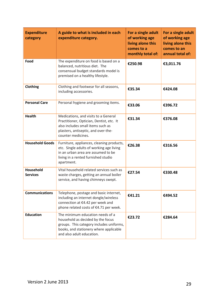<span id="page-28-0"></span>

| <b>Expenditure</b><br>category      | A guide to what is included in each<br>expenditure category.                                                                                                                             | For a single adult<br>of working age<br>living alone this<br>comes to a<br>monthly total of: | For a single adult<br>of working age<br>living alone this<br>comes to an<br>annual total of: |
|-------------------------------------|------------------------------------------------------------------------------------------------------------------------------------------------------------------------------------------|----------------------------------------------------------------------------------------------|----------------------------------------------------------------------------------------------|
| Food                                | The expenditure on food is based on a<br>balanced, nutritious diet. The<br>consensual budget standards model is<br>premised on a healthy lifestyle.                                      | €250.98                                                                                      | €3,011.76                                                                                    |
| Clothing                            | Clothing and footwear for all seasons,<br>including accessories.                                                                                                                         | €35.34                                                                                       | €424.08                                                                                      |
| <b>Personal Care</b>                | Personal hygiene and grooming items.                                                                                                                                                     | €33.06                                                                                       | €396.72                                                                                      |
| <b>Health</b>                       | Medications, and visits to a General<br>Practitioner, Optician, Dentist, etc. It<br>also includes small items such as<br>plasters, antiseptic, and over-the-<br>counter medicines.       | €31.34                                                                                       | €376.08                                                                                      |
| <b>Household Goods</b>              | Furniture, appliances, cleaning products,<br>etc. Single adults of working age living<br>in an urban area are assumed to be<br>living in a rented furnished studio<br>apartment.         | €26.38                                                                                       | €316.56                                                                                      |
| <b>Household</b><br><b>Services</b> | Vital household related services such as<br>waste charges, getting an annual boiler<br>service, and having chimneys swept.                                                               | €27.54                                                                                       | €330.48                                                                                      |
| <b>Communications</b>               | Telephone, postage and basic internet,<br>including an internet dongle/wireless<br>connection at €4.42 per week and<br>phone related costs of €4.71 per week.                            | €41.21                                                                                       | €494.52                                                                                      |
| <b>Education</b>                    | The minimum education needs of a<br>household as decided by the focus<br>groups. This category includes uniforms,<br>books, and stationery where applicable<br>and also adult education. | €23.72                                                                                       | €284.64                                                                                      |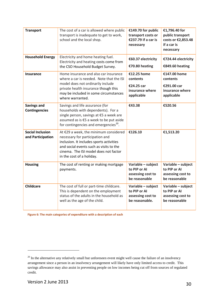| <b>Transport</b>                             | The cost of a car is allowed where public<br>transport is inadequate to get to work,<br>school and the local shop.                                                                                                                    | €149.70 for public<br>transport costs or<br>€237.79 if a car is<br>necessary | €1,796.40 for<br>public transport<br>costs or €2,853.48<br>if a car is<br>necessary |
|----------------------------------------------|---------------------------------------------------------------------------------------------------------------------------------------------------------------------------------------------------------------------------------------|------------------------------------------------------------------------------|-------------------------------------------------------------------------------------|
| <b>Household Energy</b>                      | Electricity and home heating fuel.<br>Electricity and heating costs come from<br>the CSO Household Budget Survey.                                                                                                                     | €60.37 electricity<br>€70.80 heating                                         | €724.44 electricity<br>€849.60 heating                                              |
| Insurance                                    | Home insurance and also car insurance<br>where a car is needed. Note that the ISI<br>model does not ordinarily include<br>private health insurance though this<br>may be included in some circumstances<br>where warranted.           | €12.25 home<br>contents<br>€24.25 car<br>insurance where<br>applicable       | €147.00 home<br>contents<br>€291.00 car<br>insurance where<br>applicable            |
| <b>Savings and</b><br><b>Contingencies</b>   | Savings and life assurance (for<br>households with dependents). For a<br>single person, savings at €5 a week are<br>assumed as is €5 a week to be put aside<br>for contingencies and emergencies <sup>20</sup> .                      | €43.38                                                                       | €520.56                                                                             |
| <b>Social Inclusion</b><br>and Participation | At €29 a week, the minimum considered<br>necessary for participation and<br>inclusion. It includes sports activities<br>and social events such as visits to the<br>cinema. The ISI model does not factor<br>in the cost of a holiday. | €126.10                                                                      | €1,513.20                                                                           |
| <b>Housing</b>                               | The cost of renting or making mortgage<br>payments.                                                                                                                                                                                   | Variable - subject<br>to PIP or AI<br>assessing cost to<br>be reasonable     | Variable - subject<br>to PIP or AI<br>assessing cost to<br>be reasonable            |
| <b>Childcare</b>                             | The cost of full or part-time childcare.<br>This is dependent on the employment<br>status of the adults in the household as<br>well as the age of the child.                                                                          | Variable - subject<br>to PIP or AI<br>assessing cost to<br>be reasonable.    | Variable - subject<br>to PIP or AI<br>assessing cost to<br>be reasonable            |

**Figure 6: The main categories of expenditure with a description of each**

 $\overline{a}$ 

<span id="page-29-0"></span><sup>&</sup>lt;sup>20</sup> In the alternative any relatively small but unforeseen event might well cause the failure of an insolvency arrangement since a person in an insolvency arrangement will likely have only limited access to credit. This savings allowance may also assist in preventing people on low incomes being cut off from sources of regulated credit.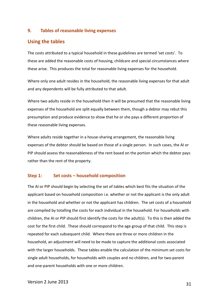# <span id="page-30-0"></span>**9. Tables of reasonable living expenses**

# <span id="page-30-1"></span>**Using the tables**

The costs attributed to a typical household in these guidelines are termed 'set costs'. To these are added the reasonable costs of housing, childcare and special circumstances where these arise. This produces the total for reasonable living expenses for the household.

Where only one adult resides in the household, the reasonable living expenses for that adult and any dependents will be fully attributed to that adult.

Where two adults reside in the household then it will be presumed that the reasonable living expenses of the household are split equally between them, though a debtor may rebut this presumption and produce evidence to show that he or she pays a different proportion of these reasonable living expenses.

Where adults reside together in a house-sharing arrangement, the reasonable living expenses of the debtor should be based on those of a single person. In such cases, the AI or PIP should assess the reasonableness of the rent based on the portion which the debtor pays rather than the rent of the property.

## **Step 1: Set costs – household composition**

The AI or PIP should begin by selecting the set of tables which best fits the situation of the applicant based on household composition i.e. whether or not the applicant is the only adult in the household and whether or not the applicant has children. The set costs of a household are compiled by totalling the costs for each individual in the household. For households with children, the AI or PIP should first identify the costs for the adult(s). To this is then added the cost for the first child. These should correspond to the age group of that child. This step is repeated for each subsequent child. Where there are three or more children in the household, an adjustment will need to be made to capture the additional costs associated with the larger households. These tables enable the calculation of the minimum set costs for single adult households, for households with couples and no children, and for two-parent and one-parent households with one or more children.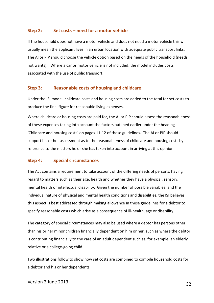# **Step 2: Set costs – need for a motor vehicle**

If the household does not have a motor vehicle and does not need a motor vehicle this will usually mean the applicant lives in an urban location with adequate public transport links. The AI or PIP should choose the vehicle option based on the needs of the household (needs, not wants). Where a car or motor vehicle is not included, the model includes costs associated with the use of public transport.

# **Step 3: Reasonable costs of housing and childcare**

Under the ISI model, childcare costs and housing costs are added to the total for set costs to produce the final figure for reasonable living expenses.

Where childcare or housing costs are paid for, the AI or PIP should assess the reasonableness of these expenses taking into account the factors outlined earlier under the heading 'Childcare and housing costs' on pages 11-12 of these guidelines. The AI or PIP should support his or her assessment as to the reasonableness of childcare and housing costs by reference to the matters he or she has taken into account in arriving at this opinion.

# **Step 4: Special circumstances**

The Act contains a requirement to take account of the differing needs of persons, having regard to matters such as their age, health and whether they have a physical, sensory, mental health or intellectual disability. Given the number of possible variables, and the individual nature of physical and mental health conditions and disabilities, the ISI believes this aspect is best addressed through making allowance in these guidelines for a debtor to specify reasonable costs which arise as a consequence of ill-health, age or disability.

The category of special circumstances may also be used where a debtor has persons other than his or her minor children financially dependent on him or her, such as where the debtor is contributing financially to the care of an adult dependent such as, for example, an elderly relative or a college-going child.

Two illustrations follow to show how set costs are combined to compile household costs for a debtor and his or her dependents.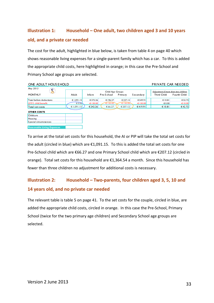# **Illustration 1: Household – One adult, two children aged 3 and 10 years old, and a private car needed**

The cost for the adult, highlighted in blue below, is taken from table 4 on page 40 which shows reasonable living expenses for a single-parent family which has a car. To this is added the appropriate child costs, here highlighted in orange; in this case the Pre-School and Primary School age groups are selected.

| ONE ADULT HOUS EHOLD              |                 |            |                  |            | PRIVATE CAR NEEDED |  |                                      |              |
|-----------------------------------|-----------------|------------|------------------|------------|--------------------|--|--------------------------------------|--------------|
| May 2013                          |                 |            | Child Age Groups |            |                    |  | Adjustment if more than two children |              |
| <b>MONTHLY</b>                    | Adult           | Infant     | Pre-School       | Primary    | Secondary          |  | <b>Third Child</b>                   | Fourth Child |
| Total before deductions           | € 1,091.15      | € 372.26   | € 196.27         | € 337.12   | € 549.91           |  | € $10.81$                            | € 52.72      |
| LESS child benefit                | $\epsilon$ 0.00 | $-6130.00$ | $-6130.00$       | $-6130.00$ | $-E$ 130.00        |  | $\epsilon$ 0.00                      | $-E$ 10.00   |
| Total set costs                   | € 1.091.15      | €242.26    | € 66.27          | € 207.12   | €419.91            |  | $\epsilon$ 10.81                     | €42.72       |
| <b>OTHER COSTS</b>                |                 |            |                  |            |                    |  |                                      |              |
| Childcare                         |                 |            |                  |            |                    |  |                                      |              |
| Housing                           |                 |            |                  |            |                    |  |                                      |              |
| Special circumstances             |                 |            |                  |            |                    |  |                                      |              |
| <b>Reasonable Living Expenses</b> |                 |            |                  |            |                    |  |                                      |              |

To arrive at the total set costs for this household, the AI or PIP will take the total set costs for the adult (circled in blue) which are €1,091.15. To this is added the total set costs for one Pre-School child which are €66.27 and one Primary School child which are €207.12 (circled in orange). Total set costs for this household are  $\epsilon$ 1,364.54 a month. Since this household has fewer than three children no adjustment for additional costs is necessary.

# **Illustration 2: Household – Two-parents, four children aged 3, 5, 10 and 14 years old, and no private car needed**

The relevant table is table 5 on page 41. To the set costs for the couple, circled in blue, are added the appropriate child costs, circled in orange. In this case the Pre-School, Primary School (twice for the two primary age children) and Secondary School age groups are selected.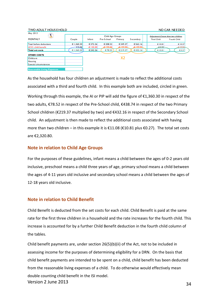| <b>TWO ADULT HOUS EHOLD</b><br>NO CAR NEEDED |                |                   |                                |              |              |                    |                                                      |
|----------------------------------------------|----------------|-------------------|--------------------------------|--------------|--------------|--------------------|------------------------------------------------------|
| May 2013<br><b>MONTHLY</b>                   | Couple         | Infant            | Child Age Groups<br>Pre-School | Primary      | Secondary    | <b>Third Child</b> | Adjustment if more than two children<br>Fourth Child |
| Total before deductions                      | € 1.360.30     | € 372.26          | € 208.52                       | € 349.37     | €562.16      | € 10.81            | € 10.27                                              |
| <b>LESS</b> child benefit                    | $-6.00$        | $-6130.00$        | <del>£130.</del> 00            | $-6 + 30.00$ | $-6 + 30.00$ | €0.00              | €10.00                                               |
| Total set costs                              | $\in$ 1.360.30 | $\epsilon$ 242.26 | €78.52                         | € 219.37     | €432.16      | € 10.81            | $\epsilon$ 0.27                                      |
| <b>OTHER COSTS</b>                           |                |                   |                                |              |              |                    |                                                      |
| Childcare                                    |                |                   |                                | Х2           |              |                    |                                                      |
| Housing                                      |                |                   |                                |              |              |                    |                                                      |
| Special circumstances                        |                |                   |                                |              |              |                    |                                                      |
| <b>Reasonable Living Expenses</b>            |                |                   |                                |              |              |                    |                                                      |

As the household has four children an adjustment is made to reflect the additional costs associated with a third and fourth child. In this example both are included, circled in green.

Working through this example, the AI or PIP will add the figure of €1,360.30 in respect of the two adults, €78.52 in respect of the Pre-School child, €438.74 in respect of the two Primary School children (€219.37 multiplied by two) and €432.16 in respect of the Secondary School child. An adjustment is then made to reflect the additional costs associated with having more than two children – in this example it is  $\epsilon$ 11.08 ( $\epsilon$ 10.81 plus  $\epsilon$ 0.27). The total set costs are €2,320.80.

# **Note in relation to Child Age Groups**

For the purposes of these guidelines, infant means a child between the ages of 0-2 years old inclusive, preschool means a child three years of age, primary school means a child between the ages of 4-11 years old inclusive and secondary school means a child between the ages of 12-18 years old inclusive.

## **Note in relation to Child Benefit**

Child Benefit is deducted from the set costs for each child. Child Benefit is paid at the same rate for the first three children in a household and the rate increases for the fourth child. This increase is accounted for by a further Child Benefit deduction in the fourth child column of the tables.

Version 2 June 2013 34 Child benefit payments are, under section 26(5)(b)(ii) of the Act, not to be included in assessing income for the purposes of determining eligibility for a DRN. On the basis that child benefit payments are intended to be spent on a child, child benefit has been deducted from the reasonable living expenses of a child. To do otherwise would effectively mean double counting child benefit in the ISI model.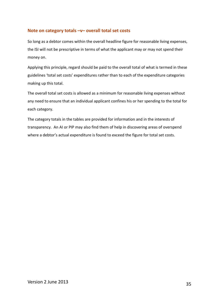# **Note on category totals –v– overall total set costs**

So long as a debtor comes within the overall headline figure for reasonable living expenses, the ISI will not be prescriptive in terms of what the applicant may or may not spend their money on.

Applying this principle, regard should be paid to the overall total of what is termed in these guidelines 'total set costs' expenditures rather than to each of the expenditure categories making up this total.

The overall total set costs is allowed as a minimum for reasonable living expenses without any need to ensure that an individual applicant confines his or her spending to the total for each category.

The category totals in the tables are provided for information and in the interests of transparency. An AI or PIP may also find them of help in discovering areas of overspend where a debtor's actual expenditure is found to exceed the figure for total set costs.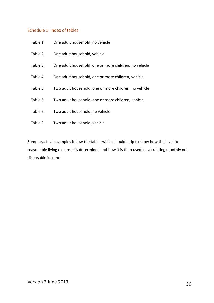# <span id="page-35-0"></span>Schedule 1: Index of tables

| Table 1. | One adult household, no vehicle                       |
|----------|-------------------------------------------------------|
| Table 2. | One adult household, vehicle                          |
| Table 3. | One adult household, one or more children, no vehicle |
| Table 4. | One adult household, one or more children, vehicle    |
| Table 5. | Two adult household, one or more children, no vehicle |
| Table 6. | Two adult household, one or more children, vehicle    |
| Table 7. | Two adult household, no vehicle                       |
| Table 8. | Two adult household, vehicle                          |

Some practical examples follow the tables which should help to show how the level for reasonable living expenses is determined and how it is then used in calculating monthly net disposable income.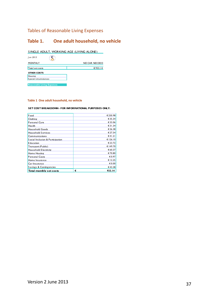# Tables of Reasonable Living Expenses

# **Table 1. One adult household, no vehicle**

#### SINGLE ADULT, WORKING AGE (LIVING ALONE)

| Jun 2013                          |               |
|-----------------------------------|---------------|
| <b>MONTHLY</b>                    | NO CAR NEEDED |
| Total set costs                   | €933.14       |
| <b>OTHER COSTS</b>                |               |
| Housing                           |               |
| Special circumstances             |               |
|                                   |               |
| <b>Reasonable Living Expenses</b> |               |

### **Table 1 One adult household, no vehicle**

| Food                             | € 250.98    |
|----------------------------------|-------------|
| Clothing                         | € 35.34     |
| Personal Care                    | € 33.06     |
| Health                           | € 31.34     |
| <b>Household Goods</b>           | € 26.38     |
| Household Services               | € 27.54     |
| <b>Communications</b>            | €41.21      |
| Social Inclusion & Participation | € 126.10    |
| <b>E</b> ducation                | € 23.72     |
| Transport (Public)               | € 149.70    |
| Household Electricity            | € 60.37     |
| Home Heating                     | €70.80      |
| Personal Costs                   | € 0.97      |
| Home Insurance                   | € 12.25     |
| Car Insurance                    | € 0.00      |
| Savings & Contingencies          | €43.38      |
| Total monthly set costs          | €<br>933.14 |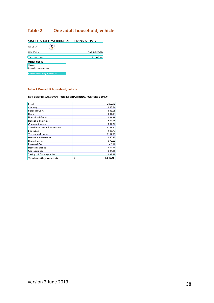# **Table 2. One adult household, vehicle**

| SINGLE ADULT, WORKING AGE (LIVING ALONE) |            |  |
|------------------------------------------|------------|--|
| Jun 2013                                 |            |  |
| <b>MONTHLY</b>                           | CAR NEEDED |  |
| Total set costs                          | € 1,045.48 |  |
| <b>OTHER COSTS</b>                       |            |  |
| Housing                                  |            |  |
| S pecial circumstances                   |            |  |
|                                          |            |  |
| <b>Reasonable Living Expenses</b>        |            |  |

### **Table 2 One adult household, vehicle**

| Food                             | € 250.98      |
|----------------------------------|---------------|
| Clothing                         | € 35.34       |
|                                  |               |
| Personal Care                    | € 33.06       |
| Health                           | € 31.34       |
| Household Goods                  | € 26.38       |
| Household Services               | € 27.54       |
| Communications                   | €41.21        |
| Social Inclusion & Participation | € 126.10      |
| E ducation                       | € 23.72       |
| Transport (Private)              | € 237.79      |
| Household Electricity            | € 60.37       |
| Home Heating                     | €70.80        |
| Personal Costs                   | € 0.97        |
| Home Insurance                   | € 12.25       |
| Car Insurance                    | € 24.25       |
| Savings & Contingencies          | €43.38        |
| Total monthly set costs          | €<br>1.045.48 |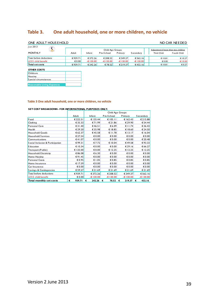# **Table 3. One adult household, one or more children, no vehicle**

| ONE ADULT HOUS EHOLD              |                 |            |                                |            |                  |                                                            | NO CAR NEEDED   |
|-----------------------------------|-----------------|------------|--------------------------------|------------|------------------|------------------------------------------------------------|-----------------|
| Jun 2013<br><b>MONTHLY</b>        | Adult           | Infant     | Child Age Groups<br>Pre-School | Primary    | <b>Secondary</b> | Adjustment if more than two children<br><b>Third Child</b> | Fourth Child    |
| Total before deductions           | € 939.71        | € 372.26   | € 208.52                       | € 349.37   | € 562.16         | E10.81                                                     | € 10.27         |
| <b>ILESS</b> child benefit        | $\epsilon$ 0.00 | $-6130.00$ | $-6130.00$                     | $-6130.00$ | $-6130.00$       | $\epsilon$ 0.00                                            | $-E$ 10.00      |
| Total set costs                   | € 939.71        | € 242.26   | €78.52                         | € 219.37   | €432.16          | € $10.81$                                                  | $\epsilon$ 0.27 |
| <b>OTHER COSTS</b>                |                 |            |                                |            |                  |                                                            |                 |
| Childca re                        |                 |            |                                |            |                  |                                                            |                 |
| Housing                           |                 |            |                                |            |                  |                                                            |                 |
| S pecial circumstances            |                 |            |                                |            |                  |                                                            |                 |
| <b>Reasonable Living Expenses</b> |                 |            |                                |            |                  |                                                            |                 |

# **Table 3 One adult household, one or more children, no vehicle**

|                                  |             | Child Age Groups |            |                 |             |  |
|----------------------------------|-------------|------------------|------------|-----------------|-------------|--|
|                                  | Adult       | Infant           | Pre-School | Primary         | Secondary   |  |
| Food                             | € 222.51    | € 135.44         | € 105.11   | € 162.43        | € 215.88    |  |
| Clothing                         | € 35.33     | €71.99           | € 21.86    | € 29.90         | € 54.44     |  |
| Personal Care                    | € 31.40     | €46.51           | €6.09      | € 11.74         | € 36.43     |  |
| Health                           | € 29.20     | € 35.98          | € 18.85    | € 18.60         | € 24.50     |  |
| Household Goods                  | € 62.37     | €45.58           | € 11.78    | € 13.17         | € 16.04     |  |
| Household Services               | € 27.54     | € 0.00           | € 0.00     | € 0.00          | 60.00       |  |
| <b>Communications</b>            | €41.07      | € 0.00           | € 0.00     | € 0.00          | € 20.48     |  |
| Social Inclusion & Participation | €99.31      | €7.72            | € 10.04    | €49.58          | €93.33      |  |
| Education                        | € 10.34     | € 0.00           | € 0.00     | € 29.16         | € 66.27     |  |
| Transport (Public)               | € 125.00    | € 0.00           | € 12.25    | € 12.25         | € 12.25     |  |
| Household Electricity            | €86.08      | € 6.30           | € 0.00     | € 0.00          | 60.00       |  |
| Home Heating                     | €91.45      | € 0.00           | € 0.00     | $\epsilon$ 0.00 | 60.00       |  |
| Personal Costs                   | € 0.95      | €1.05            | € 0.85     | €0.85           | €0.85       |  |
| Home Insurance                   | € 17.59     | € 0.00           | € 0.00     | $\epsilon$ 0.00 | € 0.00      |  |
| Car Insurance                    | € 0.00      | € 0.00           | € 0.00     | € 0.00          | € 0.00      |  |
| Savings & Contingencies          | € 59.57     | € 21.69          | € 21.69    | € 21.69         | € 21.69     |  |
| Total before deductions          | €939.71     | € 372.26         | € 208.52   | € 349.37        | € 562.16    |  |
| LESS child benefit               | € 0.00      | $-6130.00$       | $-6130.00$ | $-6130.00$      | $-6130.00$  |  |
| Total monthly set costs          | 939.71<br>€ | 242.26<br>€      | 78.52<br>€ | 219.37<br>€     | 432.16<br>€ |  |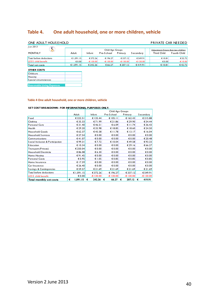# **Table 4. One adult household, one or more children, vehicle**

| ONE ADULT HOUS EHOLD              |            |               |                  |             |            | <b>PRIVATE CAR NEEDED</b>            |              |
|-----------------------------------|------------|---------------|------------------|-------------|------------|--------------------------------------|--------------|
| Jun 2013                          |            |               | Child Age Groups |             |            | Adjustment if more than two children |              |
| <b>MONTHLY</b>                    | Adult      | <b>Infant</b> | Pre-School       | Primary     | Secondary  | Third Child                          | Fourth Child |
| Total before deductions           | € 1,091.15 | € 372.26      | € 196.27         | € 337.12    | € 549.91   | € $10.81$                            | € 52.72      |
| <b>LESS</b> child benefit         | € 0.00     | $-£130.00$    | $-E130.00$       | $-E$ 130.00 | $-£130.00$ | € 0.00                               | $-610.00$    |
| Total set costs                   | € 1,091.15 | €242.26       | € 66.27          | € 207.12    | €419.91    | E10.81                               | €42.72       |
| <b>OTHER COSTS</b>                |            |               |                  |             |            |                                      |              |
| Childca re                        |            |               |                  |             |            |                                      |              |
| Housing                           |            |               |                  |             |            |                                      |              |
| S pecial circumstances            |            |               |                  |             |            |                                      |              |
| <b>Reasonable Living Expenses</b> |            |               |                  |             |            |                                      |              |

### **Table 4 One adult household, one or more children, vehicle**

|                                  |               | Child Age Groups |            |                 |             |  |  |
|----------------------------------|---------------|------------------|------------|-----------------|-------------|--|--|
|                                  | Adult         | Infant           | Pre-School | Primary         | Secondary   |  |  |
| Food                             | € 222.51      | € 135.44         | € 105.11   | € 162.43        | € 215.88    |  |  |
| <b>Clothing</b>                  | €35.33        | €71.99           | € 21.86    | € 29.90         | € 54.44     |  |  |
| Personal Care                    | € 31.40       | €46.51           | € 6.09     | € 11.74         | € 36.43     |  |  |
| Health                           | € 29.20       | € 35.98          | € 18.85    | € 18.60         | € 24.50     |  |  |
| <b>Household Goods</b>           | € 62.37       | €45.58           | € 11.78    | € 13.17         | € 16.04     |  |  |
| Household Services               | € 27.54       | € 0.00           | € 0.00     | € 0.00          | € 0.00      |  |  |
| Communications                   | €41.07        | € 0.00           | € 0.00     | $\epsilon$ 0.00 | € 20.48     |  |  |
| Social Inclusion & Participation | €99.31        | €7.72            | € 10.04    | €49.58          | € 93.33     |  |  |
| Education                        | € 10.34       | € 0.00           | € 0.00     | € 29.16         | € 66.27     |  |  |
| Transport (Private)              | € 250.04      | € 0.00           | € 0.00     | € 0.00          | € 0.00      |  |  |
| Household Electricity            | €86.08        | € 6.30           | € 0.00     | € 0.00          | € 0.00      |  |  |
| Home Heating                     | €91.45        | € 0.00           | € 0.00     | € 0.00          | € 0.00      |  |  |
| Personal Costs                   | € 0.95        | €1.05            | € 0.85     | € 0.85          | € $0.85$    |  |  |
| Home Insurance                   | € 17.59       | € 0.00           | € 0.00     | € 0.00          | € 0.00      |  |  |
| Carlnsurance                     | € 26.40       | € 0.00           | € 0.00     | € 0.00          | € 0.00      |  |  |
| Savings & Contingencies          | € 59.57       | € 21.69          | € 21.69    | € 21.69         | € 21.69     |  |  |
| Total before deductions          | € 1,091.15    | € 372.26         | € 196.27   | € 337.12        | €549.91     |  |  |
| <b>LESS</b> child benefit        | € 0.00        | $-E130.00$       | $-6130.00$ | -€ 130.00       | $-6130.00$  |  |  |
| Total monthly set costs          | 1,091.15<br>€ | 242.26<br>€      | 66.27<br>€ | 207.12<br>€     | 419.91<br>€ |  |  |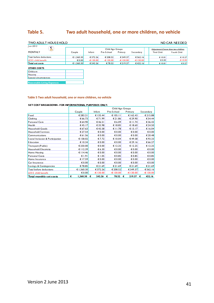# **Table 5. Two adult household, one or more children, no vehicle**

| <b>TWO ADULT HOUS EHOLD</b>       |                 |            |                  |            |             |                    | NO CAR NEEDED                         |  |
|-----------------------------------|-----------------|------------|------------------|------------|-------------|--------------------|---------------------------------------|--|
| Jun 2013                          |                 |            |                  |            |             |                    |                                       |  |
|                                   |                 |            | Child Age Groups |            |             |                    | Adjustment if more than two children. |  |
| <b>MONTHLY</b>                    | Couple          | Infant     | Pre-School       | Primary    | Secondary   | <b>Third Child</b> | Fourth Child                          |  |
| Total before deductions           | € 1.360.30      | € 372.26   | € 208.52         | € 349.37   | € 562.16    | E10.81             | E10.27                                |  |
| <b>ILESS</b> child benefit        | $\epsilon$ 0.00 | $-6130.00$ | $-6130.00$       | $-6130.00$ | $-E$ 130.00 | $\epsilon$ 0.00    | $-610.00$                             |  |
| Total set costs                   | € 1.360.30      | € 242.26   | €78.52           | € 219.37   | €432.16     | € $10.81$          | € $0.27$                              |  |
| <b>OTHER COSTS</b>                |                 |            |                  |            |             |                    |                                       |  |
| Childcare                         |                 |            |                  |            |             |                    |                                       |  |
| Housing                           |                 |            |                  |            |             |                    |                                       |  |
| Special circumstances             |                 |            |                  |            |             |                    |                                       |  |
| <b>Reasonable Living Expenses</b> |                 |            |                  |            |             |                    |                                       |  |

### **Table 5 Two adult household, one or more children, no vehicle**

|                                  |               | Child Age Groups |            |             |             |  |  |
|----------------------------------|---------------|------------------|------------|-------------|-------------|--|--|
|                                  | Couple        | Infant           | Pre-School | Primary     | Secondary   |  |  |
| Food                             | € 283.21      | € 135.44         | € 105.11   | € 162.43    | € 215.88    |  |  |
| Clothing                         | € 66.73       | €71.99           | € 21.86    | € 29.90     | € 54.44     |  |  |
| Personal Care                    | € 64.90       | €46.51           | € 6.09     | € $11.74$   | € 36.43     |  |  |
| Health                           | € 45.17       | € 35.98          | € 18.85    | € 18.60     | € 24.50     |  |  |
| Household Goods                  | € 67.63       | €45.58           | € 11.78    | € 13.17     | € 16.04     |  |  |
| Household Services               | € 27.54       | $\epsilon$ 0.00  | € 0.00     | € 0.00      | € 0.00      |  |  |
| Communications                   | € 61.56       | $\epsilon$ 0.00  | € 0.00     | € 0.00      | € 20.48     |  |  |
| Social Inclusion & Participation | € 158.02      | € 7.72           | € 10.04    | €49.58      | €93.33      |  |  |
| <b>E</b> ducation                | € 10.34       | $\epsilon$ 0.00  | € 0.00     | € 29.16     | € 66.27     |  |  |
| Transport (Public)               | € 250.00      | $\epsilon$ 0.00  | € 12.25    | € 12.25     | € 12.25     |  |  |
| Household Electricity            | € 112.39      | € 6.30           | € 0.00     | € 0.00      | € 0.00      |  |  |
| Home Heating                     | € $114.46$    | $\epsilon$ 0.00  | € 0.00     | € $0.00$    | € 0.00      |  |  |
| Personal Costs                   | € $1.91$      | € 1.05           | € 0.85     | € 0.85      | € $0.85$    |  |  |
| Home Insurance                   | € 17.59       | $\epsilon$ 0.00  | € 0.00     | € 0.00      | € 0.00      |  |  |
| Car Insurance                    | € 0.00        | $\epsilon$ 0.00  | € 0.00     | € 0.00      | € 0.00      |  |  |
| Savings & Contingencies          | €78.85        | € 21.69          | € 21.69    | € 21.69     | € 21.69     |  |  |
| Total before deductions          | € 1,360.30    | € 372.26         | € 208.52   | € 349.37    | € 562.16    |  |  |
| LESS child benefit               | € 0.00        | $-6130.00$       | $-6130.00$ | -€ 130.00   | -€ 130.00   |  |  |
| Total monthly set costs          | 1,360.30<br>€ | 242.26<br>€      | 78.52<br>€ | 219.37<br>€ | 432.16<br>€ |  |  |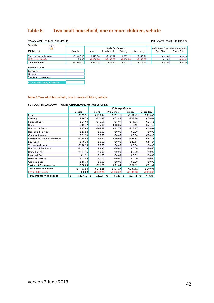# **Table 6. Two adult household, one or more children, vehicle**

| <b>TWO ADULT HOUS E HOLD</b>      |                 |            |                  |            |                  | PRIVATE CAR NEEDED                    |              |
|-----------------------------------|-----------------|------------|------------------|------------|------------------|---------------------------------------|--------------|
| Jun 2013                          |                 |            |                  |            |                  |                                       |              |
|                                   |                 |            | Child Age Groups |            |                  | Adjustment if more than two children. |              |
| <b>MONTHLY</b>                    | Couple          | Infant     | Pre-School       | Primary    | <b>Secondary</b> | Third Child                           | Fourth Child |
| Total before deductions           | € 1,407.50      | € 372.26   | € 196.27         | € 337.12   | € 549.91         | € $10.81$                             | € 52.72      |
| <b>ILESS</b> child benefit        | $\epsilon$ 0.00 | $-6130.00$ | $-6130.00$       | $-6130.00$ | $-E$ 130.00      | € $0.00$                              | $-610.00$    |
| Total set costs                   | € 1,407.50      | € 242.26   | € 66.27          | € 207.12   | €419.91          | € $10.81$                             | €42.72       |
| <b>OTHER COSTS</b>                |                 |            |                  |            |                  |                                       |              |
| Childca re                        |                 |            |                  |            |                  |                                       |              |
| <b>Housing</b>                    |                 |            |                  |            |                  |                                       |              |
| Special circumstances             |                 |            |                  |            |                  |                                       |              |
| <b>Reasonable Living Expenses</b> |                 |            |                  |            |                  |                                       |              |

#### **Table 6 Two adult household, one or more children, vehicle**

|                                  |               | Child Age Groups |            |             |             |  |
|----------------------------------|---------------|------------------|------------|-------------|-------------|--|
|                                  | Couple        | Infant           | Pre-School | Primary     | Secondary   |  |
| Food                             | € 283.21      | € 135.44         | € 105.11   | € 162.43    | € 215.88    |  |
| Clothing                         | € 66.73       | €71.99           | € 21.86    | € 29.90     | € 54.44     |  |
| Personal Care                    | € 64.90       | €46.51           | €6.09      | € $11.74$   | € 36.43     |  |
| Health                           | €45.17        | € 35.98          | € 18.85    | € 18.60     | € 24.50     |  |
| <b>Household Goods</b>           | € 67.63       | €45.58           | € 11.78    | € 13.17     | € 16.04     |  |
| Household Services               | € 27.54       | € 0.00           | € 0.00     | € 0.00      | € 0.00      |  |
| <b>Communications</b>            | €61.56        | € 0.00           | € 0.00     | € 0.00      | € 20.48     |  |
| Social Inclusion & Participation | € 158.02      | €7.72            | € 10.04    | €49.58      | €93.33      |  |
| Education                        | € 10.34       | € 0.00           | € 0.00     | € 29.16     | € 66.27     |  |
| Transport (Private)              | € 250.50      | € 0.00           | € 0.00     | € 0.00      | € 0.00      |  |
| Household Electricity            | € 112.39      | € 6.30           | € 0.00     | € 0.00      | € 0.00      |  |
| Home Heating                     | € 114.46      | € 0.00           | € 0.00     | € 0.00      | € 0.00      |  |
| Personal Costs                   | €1.91         | € 1.05           | € 0.85     | € 0.85      | € 0.85      |  |
| Home Insurance                   | € 17.59       | $\epsilon$ 0.00  | € 0.00     | € 0.00      | € 0.00      |  |
| Car Insurance                    | €46.70        | € 0.00           | € 0.00     | € 0.00      | € 0.00      |  |
| Savings & Contingencies          | €78.85        | € 21.69          | € 21.69    | € 21.69     | € 21.69     |  |
| Total before deductions          | € 1,407.50    | € 372.26         | € 196.27   | € 337.12    | € 549.91    |  |
| <b>LESS</b> child benefit        | € 0.00        | $-6130.00$       | $-6130.00$ | $-6130.00$  | $-£130.00$  |  |
| Total monthly set costs          | €<br>1,407.50 | 242.26<br>€      | 66.27<br>€ | 207.12<br>€ | 419.91<br>€ |  |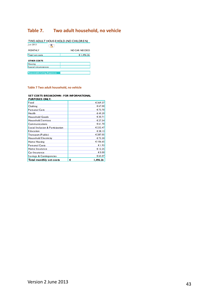# **Table 7. Two adult household, no vehicle**

| TWO ADULT HOUS EHOLD (NO CHILDREN) |               |  |  |  |  |
|------------------------------------|---------------|--|--|--|--|
| Jun 2013                           |               |  |  |  |  |
| <b>MONTHLY</b>                     | NO CAR NEEDED |  |  |  |  |
| Total set costs                    | € 1.496.26    |  |  |  |  |
| <b>OTHER COSTS</b>                 |               |  |  |  |  |
| Housing                            |               |  |  |  |  |
| S pecial circums tances            |               |  |  |  |  |
|                                    |               |  |  |  |  |
| <b>Reasonable Living Expenses</b>  |               |  |  |  |  |
|                                    |               |  |  |  |  |

#### **Table 7 Two adult household, no vehicle**

**SET COSTS BREAKDOWN - FOR INFORMATIONAL** 

| <b>PURPOSES ONLY:</b>            |               |
|----------------------------------|---------------|
| Food                             | €369.37       |
| Clothing                         | € 67.00       |
| Personal Care                    | €73.70        |
| Health                           | €49.39        |
| <b>Household Goods</b>           | € 30.71       |
| Household Services               | € 27.54       |
| <b>Communications</b>            | €61.70        |
| Social Inclusion & Participation | € 232.47      |
| E ducation                       | € 38.13       |
| Transport (Public)               | € 287.05      |
| Household Electricity            | €73.30        |
| Home Heating                     | € 106.65      |
| Personal Costs                   | €1.93         |
| Home Insurance                   | € 12.25       |
| Car Insurance                    | € 0.00        |
| Savings & Contingencies          | € 65.07       |
| Total monthly set costs          | €<br>1.496.26 |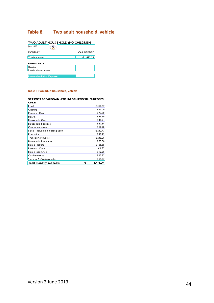# **Table 8. Two adult household, vehicle**

| TWO ADULT HOUS EHOLD (NO CHILDREN) |            |
|------------------------------------|------------|
| Jun 2013                           |            |
| <b>MONTHLY</b>                     | CAR NEEDED |
| Total set costs                    | € 1,473.29 |
| <b>OTHER COSTS</b>                 |            |
| Housing                            |            |
| Special circumstances              |            |
|                                    |            |
| <b>Reasonable Living Expenses</b>  |            |

#### **Table 8 Two adult household, vehicle**

<span id="page-43-0"></span>

| ONLY:                            |   |          |
|----------------------------------|---|----------|
| Food                             |   | € 369.37 |
| Clothing                         |   | € 67.00  |
| Personal Care                    |   | € 73.70  |
| Health                           |   | €49.39   |
| <b>Household Goods</b>           |   | € 30.71  |
| Household Services               |   | € 27.54  |
| Communications                   |   | € 61.70  |
| Social Inclusion & Participation |   | € 232.47 |
| E ducation                       |   | € 38.13  |
| Transport (Private)              |   | € 238.26 |
| Household Electricity            |   | €73.30   |
| Home Heating                     |   | € 106.65 |
| Personal Costs                   |   | € 1.93   |
| Home Insurance                   |   | € 12.25  |
| Car Insurance                    |   | € 25.82  |
| Savings & Contingencies          |   | € 65.07  |
| Total monthly set costs          | € | 1.473.29 |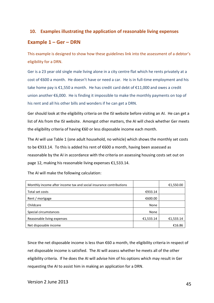# **10. Examples illustrating the application of reasonable living expenses**

# <span id="page-44-0"></span>**Example 1 – Ger – DRN**

This example is designed to show how these guidelines link into the assessment of a debtor's eligibility for a DRN.

Ger is a 23 year old single male living alone in a city centre flat which he rents privately at a cost of €600 a month. He doesn't have or need a car. He is in full-time employment and his take home pay is €1,550 a month. He has credit card debt of €11,000 and owes a credit union another €6,000. He is finding it impossible to make the monthly payments on top of his rent and all his other bills and wonders if he can get a DRN.

Ger should look at the eligibility criteria on the ISI website before visiting an AI. He can get a list of AIs from the ISI website. Amongst other matters, the AI will check whether Ger meets the eligibility criteria of having €60 or less disposable income each month.

The AI will use Table 1 (one adult household, no vehicle) which shows the monthly set costs to be €933.14. To this is added his rent of €600 a month, having been assessed as reasonable by the AI in accordance with the criteria on assessing housing costs set out on page 12, making his reasonable living expenses €1,533.14.

| Monthly income after income tax and social insurance contributions |           | €1,550.00 |
|--------------------------------------------------------------------|-----------|-----------|
| Total set costs                                                    | €933.14   |           |
| Rent / mortgage                                                    | €600.00   |           |
| Childcare                                                          | None      |           |
| Special circumstances                                              | None      |           |
| Reasonable living expenses                                         | €1,533.14 | €1,533.14 |
| Net disposable income                                              |           | €16.86    |

The AI will make the following calculation:

Since the net disposable income is less than €60 a month, the eligibility criteria in respect of net disposable income is satisfied. The AI will assess whether he meets all of the other eligibility criteria. If he does the AI will advise him of his options which may result in Ger requesting the AI to assist him in making an application for a DRN.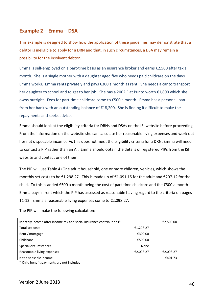# <span id="page-45-0"></span>**Example 2 – Emma – DSA**

This example is designed to show how the application of these guidelines may demonstrate that a debtor is ineligible to apply for a DRN and that, in such circumstances, a DSA may remain a possibility for the insolvent debtor.

Emma is self-employed on a part-time basis as an insurance broker and earns €2,500 after tax a month. She is a single mother with a daughter aged five who needs paid childcare on the days Emma works. Emma rents privately and pays €300 a month as rent. She needs a car to transport her daughter to school and to get to her job. She has a 2002 Fiat Punto worth €1,800 which she owns outright. Fees for part-time childcare come to €500 a month. Emma has a personal loan from her bank with an outstanding balance of €18,200. She is finding it difficult to make the repayments and seeks advice.

Emma should look at the eligibility criteria for DRNs and DSAs on the ISI website before proceeding. From the information on the website she can calculate her reasonable living expenses and work out her net disposable income. As this does not meet the eligibility criteria for a DRN, Emma will need to contact a PIP rather than an AI. Emma should obtain the details of registered PIPs from the ISI website and contact one of them.

The PIP will use Table 4 (One adult household, one or more children, vehicle), which shows the monthly set costs to be €1,298.27. This is made up of €1,091.15 for the adult and €207.12 for the child. To this is added €500 a month being the cost of part-time childcare and the €300 a month Emma pays in rent which the PIP has assessed as reasonable having regard to the criteria on pages 11-12. Emma's reasonable living expenses come to €2,098.27.

The PIP will make the following calculation:

| Monthly income after income tax and social insurance contributions* |           | €2,500.00 |
|---------------------------------------------------------------------|-----------|-----------|
| Total set costs                                                     | €1,298.27 |           |
| Rent / mortgage                                                     | €300.00   |           |
| Childcare                                                           | €500.00   |           |
| Special circumstances                                               | None      |           |
| Reasonable living expenses                                          | €2,098.27 | €2,098.27 |
| Net disposable income                                               |           | €401.73   |

\* Child benefit payments are not included.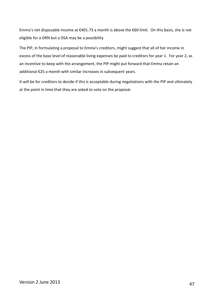Emma's net disposable income at €401.73 a month is above the €60 limit. On this basis, she is not eligible for a DRN but a DSA may be a possibility.

The PIP, in formulating a proposal to Emma's creditors, might suggest that all of her income in excess of the base level of reasonable living expenses be paid to creditors for year 1. For year 2, as an incentive to keep with the arrangement, the PIP might put forward that Emma retain an additional €25 a month with similar increases in subsequent years.

It will be for creditors to decide if this is acceptable during negotiations with the PIP and ultimately at the point in time that they are asked to vote on the proposal.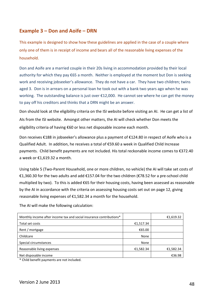# <span id="page-47-0"></span>**Example 3 – Don and Aoife – DRN**

This example is designed to show how these guidelines are applied in the case of a couple where only one of them is in receipt of income and bears all of the reasonable living expenses of the household.

Don and Aoife are a married couple in their 20s living in accommodation provided by their local authority for which they pay €65 a month. Neither is employed at the moment but Don is seeking work and receiving jobseeker's allowance. They do not have a car. They have two children; twins aged 3. Don is in arrears on a personal loan he took out with a bank two years ago when he was working. The outstanding balance is just over €12,000. He cannot see where he can get the money to pay off his creditors and thinks that a DRN might be an answer.

Don should look at the eligibility criteria on the ISI website before visiting an AI. He can get a list of AIs from the ISI website. Amongst other matters, the AI will check whether Don meets the eligibility criteria of having €60 or less net disposable income each month.

Don receives €188 in jobseeker's allowance plus a payment of €124.80 in respect of Aoife who is a Qualified Adult. In addition, he receives a total of €59.60 a week in Qualified Child Increase payments. Child benefit payments are not included. His total reckonable income comes to €372.40 a week or €1,619.32 a month.

Using table 5 (Two-Parent Household, one or more children, no vehicle) the AI will take set costs of €1,360.30 for the two adults and add €157.04 for the two children (€78.52 for a pre-school child multiplied by two). To this is added €65 for their housing costs, having been assessed as reasonable by the AI in accordance with the criteria on assessing housing costs set out on page 12, giving reasonable living expenses of €1,582.34 a month for the household.

The AI will make the following calculation:

| Monthly income after income tax and social insurance contributions* |           | €1,619.32 |
|---------------------------------------------------------------------|-----------|-----------|
| Total set costs                                                     | €1,517.34 |           |
| Rent / mortgage                                                     | €65.00    |           |
| Childcare                                                           | None      |           |
| Special circumstances                                               | None      |           |
| Reasonable living expenses                                          | €1,582.34 | €1,582.34 |
| Net disposable income                                               |           | €36.98    |

\* Child benefit payments are not included.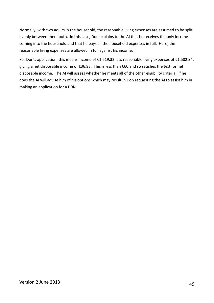Normally, with two adults in the household, the reasonable living expenses are assumed to be split evenly between them both. In this case, Don explains to the AI that he receives the only income coming into the household and that he pays all the household expenses in full. Here, the reasonable living expenses are allowed in full against his income.

For Don's application, this means income of €1,619.32 less reasonable living expenses of €1,582.34, giving a net disposable income of €36.98. This is less than €60 and so satisfies the test for net disposable income. The AI will assess whether he meets all of the other eligibility criteria. If he does the AI will advise him of his options which may result in Don requesting the AI to assist him in making an application for a DRN.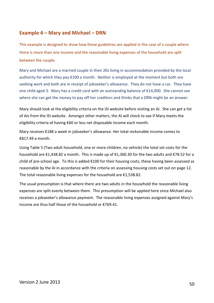# <span id="page-49-0"></span>**Example 4 – Mary and Michael – DRN**

This example is designed to show how these guidelines are applied in the case of a couple where there is more than one income and the reasonable living expenses of the household are split between the couple.

Mary and Michael are a married couple in their 20s living in accommodation provided by the local authority for which they pay  $\epsilon$ 100 a month. Neither is employed at the moment but both are seeking work and both are in receipt of jobseeker's allowance. They do not have a car. They have one child aged 3. Mary has a credit card with an outstanding balance of €14,000. She cannot see where she can get the money to pay off her creditors and thinks that a DRN might be an answer.

Mary should look at the eligibility criteria on the ISI website before visiting an AI. She can get a list of AIs from the ISI website. Amongst other matters, the AI will check to see if Mary meets the eligibility criteria of having €60 or less net disposable income each month.

Mary receives €188 a week in jobseeker's allowance. Her total reckonable income comes to €817.49 a month.

Using Table 5 (Two adult household, one or more children, no vehicle) the total set costs for the household are €1,438.82 a month. This is made up of €1,360.30 for the two adults and €78.52 for a child of pre-school age. To this is added €100 for their housing costs, these having been assessed as reasonable by the AI in accordance with the criteria on assessing housing costs set out on page 12. The total reasonable living expenses for the household are €1,538.82.

The usual presumption is that where there are two adults in the household the reasonable living expenses are split evenly between them. This presumption will be applied here since Michael also receives a jobseeker's allowance payment. The reasonable living expenses assigned against Mary's income are thus half those of the household or €769.41.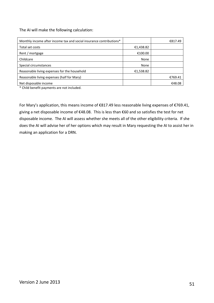The AI will make the following calculation:

| Monthly income after income tax and social insurance contributions* |           | €817.49 |
|---------------------------------------------------------------------|-----------|---------|
| Total set costs                                                     | €1,438.82 |         |
| Rent / mortgage                                                     | €100.00   |         |
| Childcare                                                           | None      |         |
| Special circumstances                                               | None      |         |
| Reasonable living expenses for the household                        | €1,538.82 |         |
| Reasonable living expenses (half for Mary)                          |           | €769.41 |
| Net disposable income                                               |           | €48.08  |

\* Child benefit payments are not included.

For Mary's application, this means income of €817.49 less reasonable living expenses of €769.41, giving a net disposable income of €48.08. This is less than €60 and so satisfies the test for net disposable income. The AI will assess whether she meets all of the other eligibility criteria. If she does the AI will advise her of her options which may result in Mary requesting the AI to assist her in making an application for a DRN.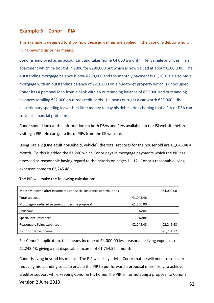# <span id="page-51-0"></span>**Example 5 – Conor – PIA**

This example is designed to show how these guidelines are applied in the case of a debtor who is living beyond his or her means.

Conor is employed as an accountant and takes home  $\epsilon$ 4,000 a month. He is single and lives in an apartment which he bought in 2006 for €280,000 but which is now valued at about €160,000. The outstanding mortgage balance is now €258,000 and the monthly payment is €1,200. He also has a mortgage with an outstanding balance of €210,000 on a buy-to-let property which is unoccupied. Conor has a personal loan from a bank with an outstanding balance of €39,000 and outstanding balances totalling €22,000 on three credit cards. He owns outright a car worth €25,000. His discretionary spending leaves him little money to pay his debts. He is hoping that a PIA or DSA can solve his financial problems.

Conor should look at the information on both DSAs and PIAs available on the ISI website before visiting a PIP. He can get a list of PIPs from the ISI website.

Using Table 2 (One adult household, vehicle), the total set costs for the household are €1,045.48 a month. To this is added the  $\epsilon$ 1,200 which Conor pays in mortgage payments which the PIP has assessed as reasonable having regard to the criteria on pages 11-12. Conor's reasonable living expenses come to €2,245.48.

The PIP will make the following calculation:

| Monthly income after income tax and social insurance contributions |           | €4,000.00 |
|--------------------------------------------------------------------|-----------|-----------|
| Total set costs                                                    | €1,045.48 |           |
| Mortgage – reduced payment under the proposal                      | €1,200.00 |           |
| Childcare                                                          | None      |           |
| Special circumstances                                              | None      |           |
| Reasonable living expenses                                         | €2,245.48 | €2,245.48 |
| Net disposable income                                              |           | €1,754.52 |

For Conor's application, this means income of €4,000.00 less reasonable living expenses of €2,245.48, giving a net disposable income of €1,754.52 a month.

Version 2 June 2013 52 Conor is living beyond his means. The PIP will likely advise Conor that he will need to consider reducing his spending so as to enable the PIP to put forward a proposal more likely to achieve creditor support while keeping Conor in his home. The PIP, in formulating a proposal to Conor's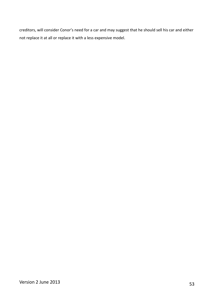creditors, will consider Conor's need for a car and may suggest that he should sell his car and either not replace it at all or replace it with a less expensive model.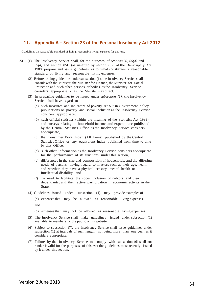### <span id="page-53-0"></span>**11. Appendix A – Section 23 of the Personal Insolvency Act 2012**

Guidelines on reasonable standard of living, reasonable living expenses for debtors.

- **23**.—(1) The Insolvency Service shall, for the purposes of *sections 26*, *65(4)* and *99(4)* and section 85D (as inserted by *section 157*) of the Bankruptcy Act 1988, prepare and issue guidelines as to what constitutes a reasonable standard of living and reasonable living expenses.
	- (2) Before issuing guidelines under subsection (1), the Insolvency Service shall consult with the Minister, the Minister for Finance, the Minister for Social Protection and such other persons or bodies as the Insolvency Service considers appropriate or as the Minister may direct.
	- (3) In preparing guidelines to be issued under *subsection (1)*, the Insolvency Service shall have regard to—
		- (*a*) such measures and indicators of poverty set out in Government policy publications on poverty and social inclusion as the Insolvency Service considers appropriate,
		- (*b*) such official statistics (within the meaning of the Statistics Act 1993) and surveys relating to household income and expenditure published by the Central Statistics Office as the Insolvency Service considers appropriate,
		- (*c*) the Consumer Price Index (All Items) published by the Central Statistics Office or any equivalent index published from time to time by that Office,
		- (*d*) such other information as the Insolvency Service considers appropriate for the performance of its functions under this section,
		- (*e*) differences in the size and composition of households, and the differing needs of persons, having regard to matters such as their age, health and whether they have a physical, sensory, mental health or intellectual disability, and
		- (*f*) the need to facilitate the social inclusion of debtors and their dependants, and their active participation in economic activity in the State.
	- (4) Guidelines issued under subsection (1) may provide examples of
		- (*a*) expenses that may be allowed as reasonable living expenses, and
		- (*b*) expenses that may not be allowed as reasonable living expenses.
	- (5) The Insolvency Service shall make guidelines issued under subsection (1) available to members of the public on its website.
	- (6) Subject to subsection (7), the Insolvency Service shall issue guidelines under subsection (1) at intervals of such length, not being more than one year, as it considers appropriate.
	- (7) Failure by the Insolvency Service to comply with subsection (6) shall not render invalid for the purposes of this Act the guidelines most recently issued by it under this section.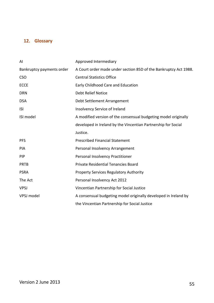# <span id="page-54-0"></span>**12. Glossary**

| AI                        | Approved Intermediary                                            |
|---------------------------|------------------------------------------------------------------|
| Bankruptcy payments order | A Court order made under section 85D of the Bankruptcy Act 1988. |
| <b>CSO</b>                | <b>Central Statistics Office</b>                                 |
| <b>ECCE</b>               | Early Childhood Care and Education                               |
| <b>DRN</b>                | <b>Debt Relief Notice</b>                                        |
| <b>DSA</b>                | Debt Settlement Arrangement                                      |
| <b>ISI</b>                | Insolvency Service of Ireland                                    |
| ISI model                 | A modified version of the consensual budgeting model originally  |
|                           | developed in Ireland by the Vincentian Partnership for Social    |
|                           | Justice.                                                         |
| <b>PFS</b>                | <b>Prescribed Financial Statement</b>                            |
| <b>PIA</b>                | Personal Insolvency Arrangement                                  |
| <b>PIP</b>                | Personal Insolvency Practitioner                                 |
| <b>PRTB</b>               | <b>Private Residential Tenancies Board</b>                       |
| <b>PSRA</b>               | <b>Property Services Regulatory Authority</b>                    |
| The Act                   | Personal Insolvency Act 2012                                     |
| <b>VPSJ</b>               | Vincentian Partnership for Social Justice                        |
| VPSJ model                | A consensual budgeting model originally developed in Ireland by  |
|                           | the Vincentian Partnership for Social Justice                    |